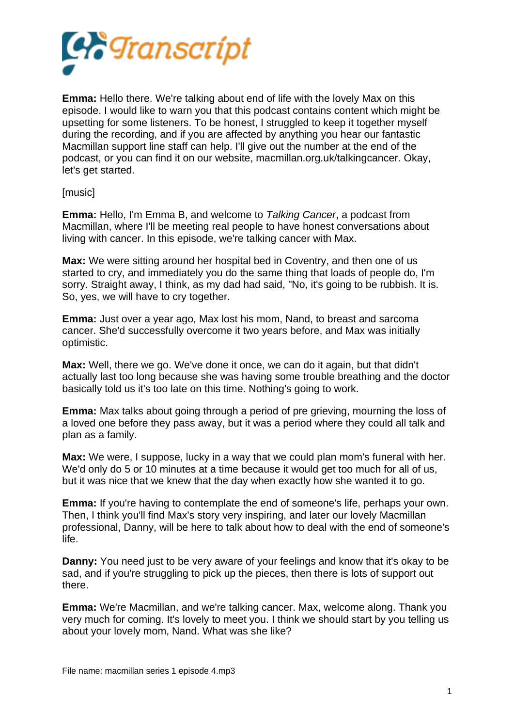

**Emma:** Hello there. We're talking about end of life with the lovely Max on this episode. I would like to warn you that this podcast contains content which might be upsetting for some listeners. To be honest, I struggled to keep it together myself during the recording, and if you are affected by anything you hear our fantastic Macmillan support line staff can help. I'll give out the number at the end of the podcast, or you can find it on our website, macmillan.org.uk/talkingcancer. Okay, let's get started.

[music]

**Emma:** Hello, I'm Emma B, and welcome to *Talking Cancer*, a podcast from Macmillan, where I'll be meeting real people to have honest conversations about living with cancer. In this episode, we're talking cancer with Max.

**Max:** We were sitting around her hospital bed in Coventry, and then one of us started to cry, and immediately you do the same thing that loads of people do, I'm sorry. Straight away, I think, as my dad had said, "No, it's going to be rubbish. It is. So, yes, we will have to cry together.

**Emma:** Just over a year ago, Max lost his mom, Nand, to breast and sarcoma cancer. She'd successfully overcome it two years before, and Max was initially optimistic.

**Max:** Well, there we go. We've done it once, we can do it again, but that didn't actually last too long because she was having some trouble breathing and the doctor basically told us it's too late on this time. Nothing's going to work.

**Emma:** Max talks about going through a period of pre grieving, mourning the loss of a loved one before they pass away, but it was a period where they could all talk and plan as a family.

**Max:** We were, I suppose, lucky in a way that we could plan mom's funeral with her. We'd only do 5 or 10 minutes at a time because it would get too much for all of us, but it was nice that we knew that the day when exactly how she wanted it to go.

**Emma:** If you're having to contemplate the end of someone's life, perhaps your own. Then, I think you'll find Max's story very inspiring, and later our lovely Macmillan professional, Danny, will be here to talk about how to deal with the end of someone's life.

**Danny:** You need just to be very aware of your feelings and know that it's okay to be sad, and if you're struggling to pick up the pieces, then there is lots of support out there.

**Emma:** We're Macmillan, and we're talking cancer. Max, welcome along. Thank you very much for coming. It's lovely to meet you. I think we should start by you telling us about your lovely mom, Nand. What was she like?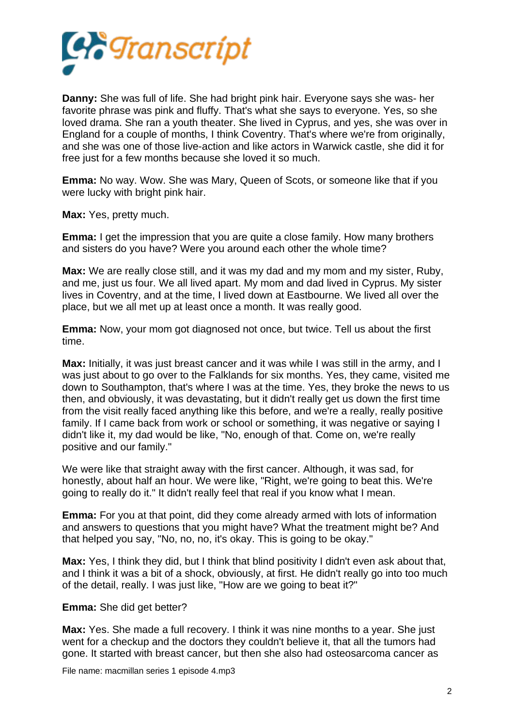

**Danny:** She was full of life. She had bright pink hair. Everyone says she was- her favorite phrase was pink and fluffy. That's what she says to everyone. Yes, so she loved drama. She ran a youth theater. She lived in Cyprus, and yes, she was over in England for a couple of months, I think Coventry. That's where we're from originally, and she was one of those live-action and like actors in Warwick castle, she did it for free just for a few months because she loved it so much.

**Emma:** No way. Wow. She was Mary, Queen of Scots, or someone like that if you were lucky with bright pink hair.

**Max:** Yes, pretty much.

**Emma:** I get the impression that you are quite a close family. How many brothers and sisters do you have? Were you around each other the whole time?

**Max:** We are really close still, and it was my dad and my mom and my sister, Ruby, and me, just us four. We all lived apart. My mom and dad lived in Cyprus. My sister lives in Coventry, and at the time, I lived down at Eastbourne. We lived all over the place, but we all met up at least once a month. It was really good.

**Emma:** Now, your mom got diagnosed not once, but twice. Tell us about the first time.

**Max:** Initially, it was just breast cancer and it was while I was still in the army, and I was just about to go over to the Falklands for six months. Yes, they came, visited me down to Southampton, that's where I was at the time. Yes, they broke the news to us then, and obviously, it was devastating, but it didn't really get us down the first time from the visit really faced anything like this before, and we're a really, really positive family. If I came back from work or school or something, it was negative or saying I didn't like it, my dad would be like, "No, enough of that. Come on, we're really positive and our family."

We were like that straight away with the first cancer. Although, it was sad, for honestly, about half an hour. We were like, "Right, we're going to beat this. We're going to really do it." It didn't really feel that real if you know what I mean.

**Emma:** For you at that point, did they come already armed with lots of information and answers to questions that you might have? What the treatment might be? And that helped you say, "No, no, no, it's okay. This is going to be okay."

**Max:** Yes, I think they did, but I think that blind positivity I didn't even ask about that, and I think it was a bit of a shock, obviously, at first. He didn't really go into too much of the detail, really. I was just like, "How are we going to beat it?"

## **Emma:** She did get better?

**Max:** Yes. She made a full recovery. I think it was nine months to a year. She just went for a checkup and the doctors they couldn't believe it, that all the tumors had gone. It started with breast cancer, but then she also had osteosarcoma cancer as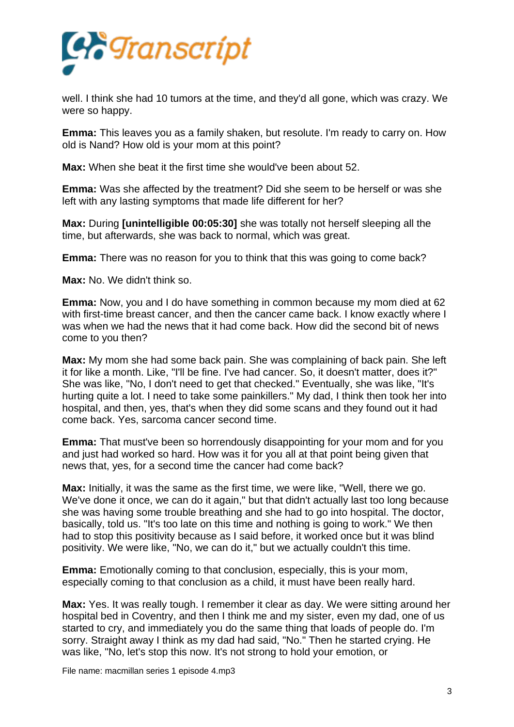

well. I think she had 10 tumors at the time, and they'd all gone, which was crazy. We were so happy.

**Emma:** This leaves you as a family shaken, but resolute. I'm ready to carry on. How old is Nand? How old is your mom at this point?

**Max:** When she beat it the first time she would've been about 52.

**Emma:** Was she affected by the treatment? Did she seem to be herself or was she left with any lasting symptoms that made life different for her?

**Max:** During **[unintelligible 00:05:30]** she was totally not herself sleeping all the time, but afterwards, she was back to normal, which was great.

**Emma:** There was no reason for you to think that this was going to come back?

**Max:** No. We didn't think so.

**Emma:** Now, you and I do have something in common because my mom died at 62 with first-time breast cancer, and then the cancer came back. I know exactly where I was when we had the news that it had come back. How did the second bit of news come to you then?

**Max:** My mom she had some back pain. She was complaining of back pain. She left it for like a month. Like, "I'll be fine. I've had cancer. So, it doesn't matter, does it?" She was like, "No, I don't need to get that checked." Eventually, she was like, "It's hurting quite a lot. I need to take some painkillers." My dad, I think then took her into hospital, and then, yes, that's when they did some scans and they found out it had come back. Yes, sarcoma cancer second time.

**Emma:** That must've been so horrendously disappointing for your mom and for you and just had worked so hard. How was it for you all at that point being given that news that, yes, for a second time the cancer had come back?

**Max:** Initially, it was the same as the first time, we were like, "Well, there we go. We've done it once, we can do it again," but that didn't actually last too long because she was having some trouble breathing and she had to go into hospital. The doctor, basically, told us. "It's too late on this time and nothing is going to work." We then had to stop this positivity because as I said before, it worked once but it was blind positivity. We were like, "No, we can do it," but we actually couldn't this time.

**Emma:** Emotionally coming to that conclusion, especially, this is your mom, especially coming to that conclusion as a child, it must have been really hard.

**Max:** Yes. It was really tough. I remember it clear as day. We were sitting around her hospital bed in Coventry, and then I think me and my sister, even my dad, one of us started to cry, and immediately you do the same thing that loads of people do. I'm sorry. Straight away I think as my dad had said, "No." Then he started crying. He was like, "No, let's stop this now. It's not strong to hold your emotion, or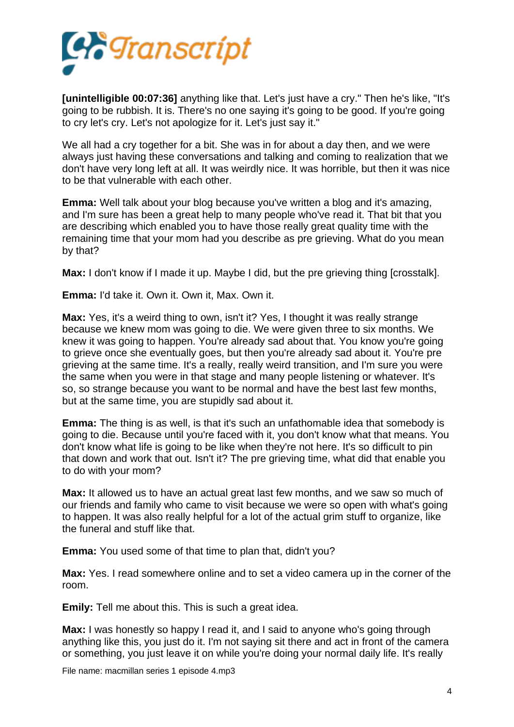

**[unintelligible 00:07:36]** anything like that. Let's just have a cry." Then he's like, "It's going to be rubbish. It is. There's no one saying it's going to be good. If you're going to cry let's cry. Let's not apologize for it. Let's just say it."

We all had a cry together for a bit. She was in for about a day then, and we were always just having these conversations and talking and coming to realization that we don't have very long left at all. It was weirdly nice. It was horrible, but then it was nice to be that vulnerable with each other.

**Emma:** Well talk about your blog because you've written a blog and it's amazing, and I'm sure has been a great help to many people who've read it. That bit that you are describing which enabled you to have those really great quality time with the remaining time that your mom had you describe as pre grieving. What do you mean by that?

**Max:** I don't know if I made it up. Maybe I did, but the pre grieving thing [crosstalk].

**Emma:** I'd take it. Own it. Own it, Max. Own it.

**Max:** Yes, it's a weird thing to own, isn't it? Yes, I thought it was really strange because we knew mom was going to die. We were given three to six months. We knew it was going to happen. You're already sad about that. You know you're going to grieve once she eventually goes, but then you're already sad about it. You're pre grieving at the same time. It's a really, really weird transition, and I'm sure you were the same when you were in that stage and many people listening or whatever. It's so, so strange because you want to be normal and have the best last few months, but at the same time, you are stupidly sad about it.

**Emma:** The thing is as well, is that it's such an unfathomable idea that somebody is going to die. Because until you're faced with it, you don't know what that means. You don't know what life is going to be like when they're not here. It's so difficult to pin that down and work that out. Isn't it? The pre grieving time, what did that enable you to do with your mom?

**Max:** It allowed us to have an actual great last few months, and we saw so much of our friends and family who came to visit because we were so open with what's going to happen. It was also really helpful for a lot of the actual grim stuff to organize, like the funeral and stuff like that.

**Emma:** You used some of that time to plan that, didn't you?

**Max:** Yes. I read somewhere online and to set a video camera up in the corner of the room.

**Emily:** Tell me about this. This is such a great idea.

**Max:** I was honestly so happy I read it, and I said to anyone who's going through anything like this, you just do it. I'm not saying sit there and act in front of the camera or something, you just leave it on while you're doing your normal daily life. It's really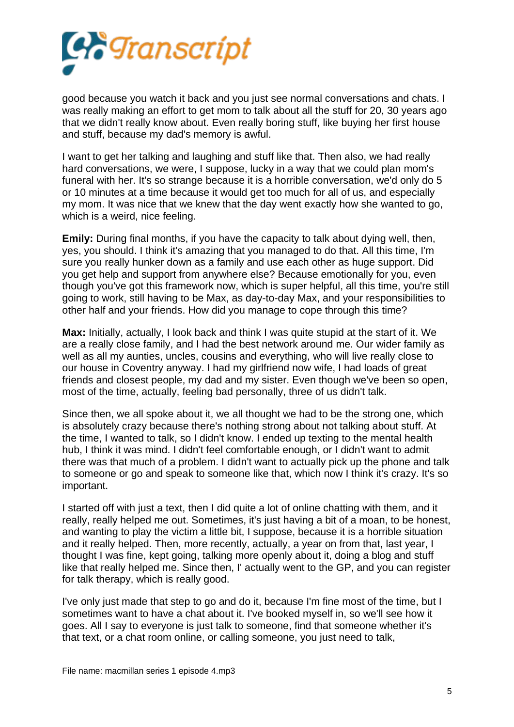

good because you watch it back and you just see normal conversations and chats. I was really making an effort to get mom to talk about all the stuff for 20, 30 years ago that we didn't really know about. Even really boring stuff, like buying her first house and stuff, because my dad's memory is awful.

I want to get her talking and laughing and stuff like that. Then also, we had really hard conversations, we were, I suppose, lucky in a way that we could plan mom's funeral with her. It's so strange because it is a horrible conversation, we'd only do 5 or 10 minutes at a time because it would get too much for all of us, and especially my mom. It was nice that we knew that the day went exactly how she wanted to go, which is a weird, nice feeling.

**Emily:** During final months, if you have the capacity to talk about dying well, then, yes, you should. I think it's amazing that you managed to do that. All this time, I'm sure you really hunker down as a family and use each other as huge support. Did you get help and support from anywhere else? Because emotionally for you, even though you've got this framework now, which is super helpful, all this time, you're still going to work, still having to be Max, as day-to-day Max, and your responsibilities to other half and your friends. How did you manage to cope through this time?

**Max:** Initially, actually, I look back and think I was quite stupid at the start of it. We are a really close family, and I had the best network around me. Our wider family as well as all my aunties, uncles, cousins and everything, who will live really close to our house in Coventry anyway. I had my girlfriend now wife, I had loads of great friends and closest people, my dad and my sister. Even though we've been so open, most of the time, actually, feeling bad personally, three of us didn't talk.

Since then, we all spoke about it, we all thought we had to be the strong one, which is absolutely crazy because there's nothing strong about not talking about stuff. At the time, I wanted to talk, so I didn't know. I ended up texting to the mental health hub, I think it was mind. I didn't feel comfortable enough, or I didn't want to admit there was that much of a problem. I didn't want to actually pick up the phone and talk to someone or go and speak to someone like that, which now I think it's crazy. It's so important.

I started off with just a text, then I did quite a lot of online chatting with them, and it really, really helped me out. Sometimes, it's just having a bit of a moan, to be honest, and wanting to play the victim a little bit, I suppose, because it is a horrible situation and it really helped. Then, more recently, actually, a year on from that, last year, I thought I was fine, kept going, talking more openly about it, doing a blog and stuff like that really helped me. Since then, I' actually went to the GP, and you can register for talk therapy, which is really good.

I've only just made that step to go and do it, because I'm fine most of the time, but I sometimes want to have a chat about it. I've booked myself in, so we'll see how it goes. All I say to everyone is just talk to someone, find that someone whether it's that text, or a chat room online, or calling someone, you just need to talk,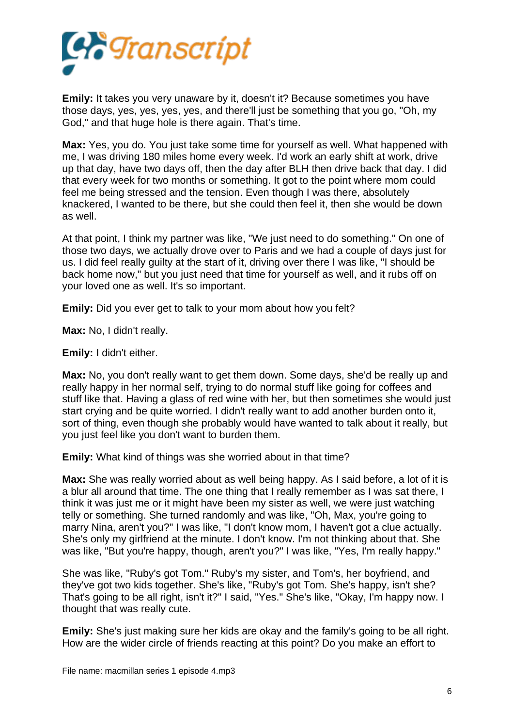

**Emily:** It takes you very unaware by it, doesn't it? Because sometimes you have those days, yes, yes, yes, yes, and there'll just be something that you go, "Oh, my God," and that huge hole is there again. That's time.

**Max:** Yes, you do. You just take some time for yourself as well. What happened with me, I was driving 180 miles home every week. I'd work an early shift at work, drive up that day, have two days off, then the day after BLH then drive back that day. I did that every week for two months or something. It got to the point where mom could feel me being stressed and the tension. Even though I was there, absolutely knackered, I wanted to be there, but she could then feel it, then she would be down as well.

At that point, I think my partner was like, "We just need to do something." On one of those two days, we actually drove over to Paris and we had a couple of days just for us. I did feel really guilty at the start of it, driving over there I was like, "I should be back home now," but you just need that time for yourself as well, and it rubs off on your loved one as well. It's so important.

**Emily:** Did you ever get to talk to your mom about how you felt?

**Max:** No, I didn't really.

**Emily:** I didn't either.

**Max:** No, you don't really want to get them down. Some days, she'd be really up and really happy in her normal self, trying to do normal stuff like going for coffees and stuff like that. Having a glass of red wine with her, but then sometimes she would just start crying and be quite worried. I didn't really want to add another burden onto it, sort of thing, even though she probably would have wanted to talk about it really, but you just feel like you don't want to burden them.

**Emily:** What kind of things was she worried about in that time?

**Max:** She was really worried about as well being happy. As I said before, a lot of it is a blur all around that time. The one thing that I really remember as I was sat there, I think it was just me or it might have been my sister as well, we were just watching telly or something. She turned randomly and was like, "Oh, Max, you're going to marry Nina, aren't you?" I was like, "I don't know mom, I haven't got a clue actually. She's only my girlfriend at the minute. I don't know. I'm not thinking about that. She was like, "But you're happy, though, aren't you?" I was like, "Yes, I'm really happy."

She was like, "Ruby's got Tom." Ruby's my sister, and Tom's, her boyfriend, and they've got two kids together. She's like, "Ruby's got Tom. She's happy, isn't she? That's going to be all right, isn't it?" I said, "Yes." She's like, "Okay, I'm happy now. I thought that was really cute.

**Emily:** She's just making sure her kids are okay and the family's going to be all right. How are the wider circle of friends reacting at this point? Do you make an effort to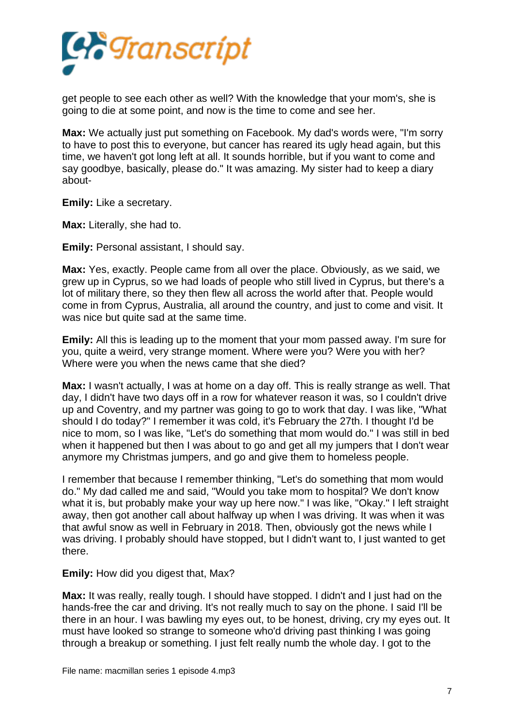

get people to see each other as well? With the knowledge that your mom's, she is going to die at some point, and now is the time to come and see her.

**Max:** We actually just put something on Facebook. My dad's words were, "I'm sorry to have to post this to everyone, but cancer has reared its ugly head again, but this time, we haven't got long left at all. It sounds horrible, but if you want to come and say goodbye, basically, please do." It was amazing. My sister had to keep a diary about-

**Emily:** Like a secretary.

**Max:** Literally, she had to.

**Emily:** Personal assistant, I should say.

**Max:** Yes, exactly. People came from all over the place. Obviously, as we said, we grew up in Cyprus, so we had loads of people who still lived in Cyprus, but there's a lot of military there, so they then flew all across the world after that. People would come in from Cyprus, Australia, all around the country, and just to come and visit. It was nice but quite sad at the same time.

**Emily:** All this is leading up to the moment that your mom passed away. I'm sure for you, quite a weird, very strange moment. Where were you? Were you with her? Where were you when the news came that she died?

**Max:** I wasn't actually, I was at home on a day off. This is really strange as well. That day, I didn't have two days off in a row for whatever reason it was, so I couldn't drive up and Coventry, and my partner was going to go to work that day. I was like, "What should I do today?" I remember it was cold, it's February the 27th. I thought I'd be nice to mom, so I was like, "Let's do something that mom would do." I was still in bed when it happened but then I was about to go and get all my jumpers that I don't wear anymore my Christmas jumpers, and go and give them to homeless people.

I remember that because I remember thinking, "Let's do something that mom would do." My dad called me and said, "Would you take mom to hospital? We don't know what it is, but probably make your way up here now." I was like, "Okay." I left straight away, then got another call about halfway up when I was driving. It was when it was that awful snow as well in February in 2018. Then, obviously got the news while I was driving. I probably should have stopped, but I didn't want to, I just wanted to get there.

**Emily:** How did you digest that, Max?

**Max:** It was really, really tough. I should have stopped. I didn't and I just had on the hands-free the car and driving. It's not really much to say on the phone. I said I'll be there in an hour. I was bawling my eyes out, to be honest, driving, cry my eyes out. It must have looked so strange to someone who'd driving past thinking I was going through a breakup or something. I just felt really numb the whole day. I got to the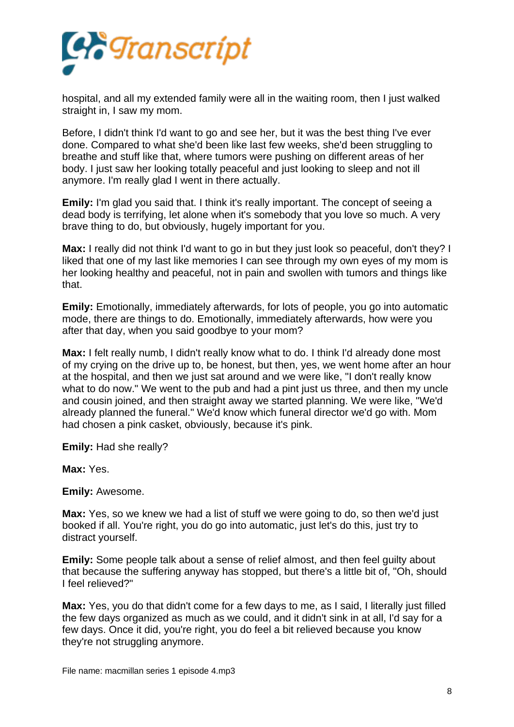

hospital, and all my extended family were all in the waiting room, then I just walked straight in, I saw my mom.

Before, I didn't think I'd want to go and see her, but it was the best thing I've ever done. Compared to what she'd been like last few weeks, she'd been struggling to breathe and stuff like that, where tumors were pushing on different areas of her body. I just saw her looking totally peaceful and just looking to sleep and not ill anymore. I'm really glad I went in there actually.

**Emily:** I'm glad you said that. I think it's really important. The concept of seeing a dead body is terrifying, let alone when it's somebody that you love so much. A very brave thing to do, but obviously, hugely important for you.

**Max:** I really did not think I'd want to go in but they just look so peaceful, don't they? I liked that one of my last like memories I can see through my own eyes of my mom is her looking healthy and peaceful, not in pain and swollen with tumors and things like that.

**Emily:** Emotionally, immediately afterwards, for lots of people, you go into automatic mode, there are things to do. Emotionally, immediately afterwards, how were you after that day, when you said goodbye to your mom?

**Max:** I felt really numb, I didn't really know what to do. I think I'd already done most of my crying on the drive up to, be honest, but then, yes, we went home after an hour at the hospital, and then we just sat around and we were like, "I don't really know what to do now." We went to the pub and had a pint just us three, and then my uncle and cousin joined, and then straight away we started planning. We were like, "We'd already planned the funeral." We'd know which funeral director we'd go with. Mom had chosen a pink casket, obviously, because it's pink.

**Emily:** Had she really?

**Max:** Yes.

**Emily:** Awesome.

**Max:** Yes, so we knew we had a list of stuff we were going to do, so then we'd just booked if all. You're right, you do go into automatic, just let's do this, just try to distract yourself.

**Emily:** Some people talk about a sense of relief almost, and then feel guilty about that because the suffering anyway has stopped, but there's a little bit of, "Oh, should I feel relieved?"

**Max:** Yes, you do that didn't come for a few days to me, as I said, I literally just filled the few days organized as much as we could, and it didn't sink in at all, I'd say for a few days. Once it did, you're right, you do feel a bit relieved because you know they're not struggling anymore.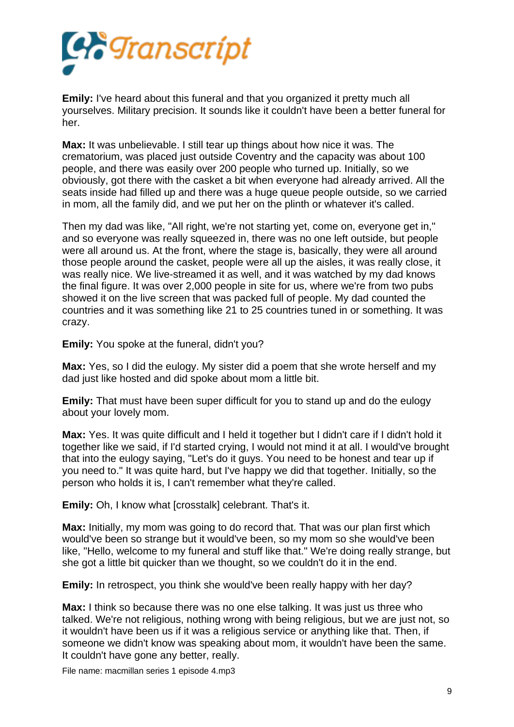

**Emily:** I've heard about this funeral and that you organized it pretty much all yourselves. Military precision. It sounds like it couldn't have been a better funeral for her.

**Max:** It was unbelievable. I still tear up things about how nice it was. The crematorium, was placed just outside Coventry and the capacity was about 100 people, and there was easily over 200 people who turned up. Initially, so we obviously, got there with the casket a bit when everyone had already arrived. All the seats inside had filled up and there was a huge queue people outside, so we carried in mom, all the family did, and we put her on the plinth or whatever it's called.

Then my dad was like, "All right, we're not starting yet, come on, everyone get in," and so everyone was really squeezed in, there was no one left outside, but people were all around us. At the front, where the stage is, basically, they were all around those people around the casket, people were all up the aisles, it was really close, it was really nice. We live-streamed it as well, and it was watched by my dad knows the final figure. It was over 2,000 people in site for us, where we're from two pubs showed it on the live screen that was packed full of people. My dad counted the countries and it was something like 21 to 25 countries tuned in or something. It was crazy.

**Emily:** You spoke at the funeral, didn't you?

**Max:** Yes, so I did the eulogy. My sister did a poem that she wrote herself and my dad just like hosted and did spoke about mom a little bit.

**Emily:** That must have been super difficult for you to stand up and do the eulogy about your lovely mom.

**Max:** Yes. It was quite difficult and I held it together but I didn't care if I didn't hold it together like we said, if I'd started crying, I would not mind it at all. I would've brought that into the eulogy saying, "Let's do it guys. You need to be honest and tear up if you need to." It was quite hard, but I've happy we did that together. Initially, so the person who holds it is, I can't remember what they're called.

**Emily:** Oh, I know what [crosstalk] celebrant. That's it.

**Max:** Initially, my mom was going to do record that. That was our plan first which would've been so strange but it would've been, so my mom so she would've been like, "Hello, welcome to my funeral and stuff like that." We're doing really strange, but she got a little bit quicker than we thought, so we couldn't do it in the end.

**Emily:** In retrospect, you think she would've been really happy with her day?

**Max:** I think so because there was no one else talking. It was just us three who talked. We're not religious, nothing wrong with being religious, but we are just not, so it wouldn't have been us if it was a religious service or anything like that. Then, if someone we didn't know was speaking about mom, it wouldn't have been the same. It couldn't have gone any better, really.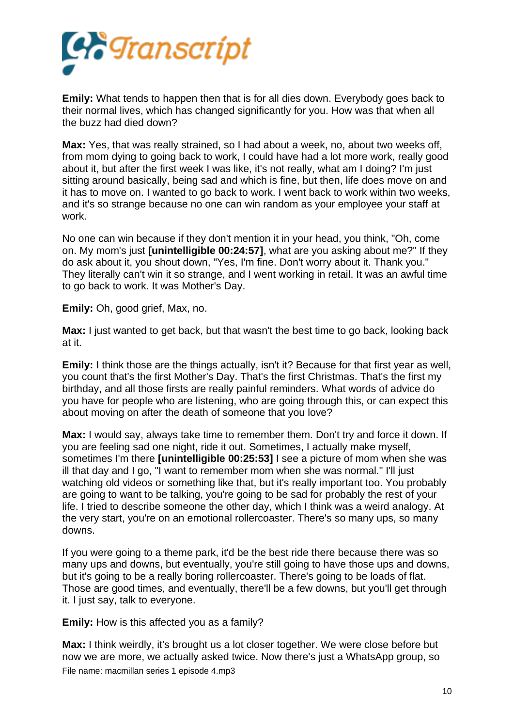

**Emily:** What tends to happen then that is for all dies down. Everybody goes back to their normal lives, which has changed significantly for you. How was that when all the buzz had died down?

**Max:** Yes, that was really strained, so I had about a week, no, about two weeks off, from mom dying to going back to work, I could have had a lot more work, really good about it, but after the first week I was like, it's not really, what am I doing? I'm just sitting around basically, being sad and which is fine, but then, life does move on and it has to move on. I wanted to go back to work. I went back to work within two weeks, and it's so strange because no one can win random as your employee your staff at work.

No one can win because if they don't mention it in your head, you think, "Oh, come on. My mom's just **[unintelligible 00:24:57]**, what are you asking about me?" If they do ask about it, you shout down, "Yes, I'm fine. Don't worry about it. Thank you." They literally can't win it so strange, and I went working in retail. It was an awful time to go back to work. It was Mother's Day.

**Emily:** Oh, good grief, Max, no.

**Max:** I just wanted to get back, but that wasn't the best time to go back, looking back at it.

**Emily:** I think those are the things actually, isn't it? Because for that first year as well, you count that's the first Mother's Day. That's the first Christmas. That's the first my birthday, and all those firsts are really painful reminders. What words of advice do you have for people who are listening, who are going through this, or can expect this about moving on after the death of someone that you love?

**Max:** I would say, always take time to remember them. Don't try and force it down. If you are feeling sad one night, ride it out. Sometimes, I actually make myself, sometimes I'm there **[unintelligible 00:25:53]** I see a picture of mom when she was ill that day and I go, "I want to remember mom when she was normal." I'll just watching old videos or something like that, but it's really important too. You probably are going to want to be talking, you're going to be sad for probably the rest of your life. I tried to describe someone the other day, which I think was a weird analogy. At the very start, you're on an emotional rollercoaster. There's so many ups, so many downs.

If you were going to a theme park, it'd be the best ride there because there was so many ups and downs, but eventually, you're still going to have those ups and downs, but it's going to be a really boring rollercoaster. There's going to be loads of flat. Those are good times, and eventually, there'll be a few downs, but you'll get through it. I just say, talk to everyone.

**Emily:** How is this affected you as a family?

**Max:** I think weirdly, it's brought us a lot closer together. We were close before but now we are more, we actually asked twice. Now there's just a WhatsApp group, so File name: macmillan series 1 episode 4.mp3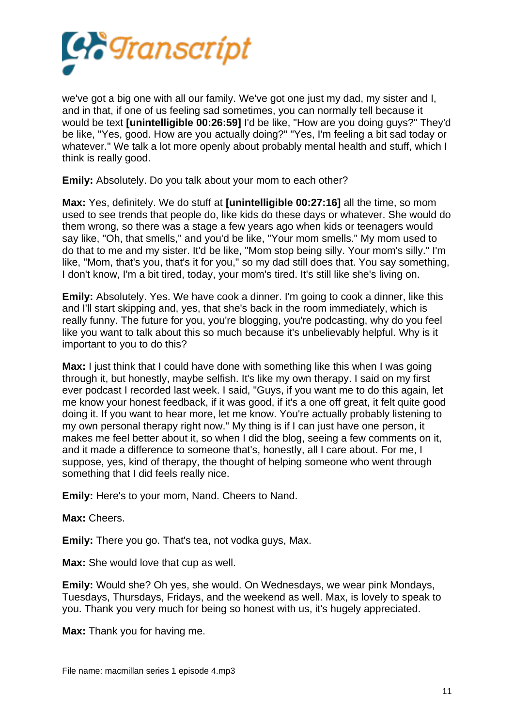

we've got a big one with all our family. We've got one just my dad, my sister and I, and in that, if one of us feeling sad sometimes, you can normally tell because it would be text **[unintelligible 00:26:59]** I'd be like, "How are you doing guys?" They'd be like, "Yes, good. How are you actually doing?" "Yes, I'm feeling a bit sad today or whatever." We talk a lot more openly about probably mental health and stuff, which I think is really good.

**Emily:** Absolutely. Do you talk about your mom to each other?

**Max:** Yes, definitely. We do stuff at **[unintelligible 00:27:16]** all the time, so mom used to see trends that people do, like kids do these days or whatever. She would do them wrong, so there was a stage a few years ago when kids or teenagers would say like, "Oh, that smells," and you'd be like, "Your mom smells." My mom used to do that to me and my sister. It'd be like, "Mom stop being silly. Your mom's silly." I'm like, "Mom, that's you, that's it for you," so my dad still does that. You say something, I don't know, I'm a bit tired, today, your mom's tired. It's still like she's living on.

**Emily:** Absolutely. Yes. We have cook a dinner. I'm going to cook a dinner, like this and I'll start skipping and, yes, that she's back in the room immediately, which is really funny. The future for you, you're blogging, you're podcasting, why do you feel like you want to talk about this so much because it's unbelievably helpful. Why is it important to you to do this?

**Max:** I just think that I could have done with something like this when I was going through it, but honestly, maybe selfish. It's like my own therapy. I said on my first ever podcast I recorded last week. I said, "Guys, if you want me to do this again, let me know your honest feedback, if it was good, if it's a one off great, it felt quite good doing it. If you want to hear more, let me know. You're actually probably listening to my own personal therapy right now." My thing is if I can just have one person, it makes me feel better about it, so when I did the blog, seeing a few comments on it, and it made a difference to someone that's, honestly, all I care about. For me, I suppose, yes, kind of therapy, the thought of helping someone who went through something that I did feels really nice.

**Emily:** Here's to your mom, Nand. Cheers to Nand.

**Max:** Cheers.

**Emily:** There you go. That's tea, not vodka guys, Max.

**Max:** She would love that cup as well.

**Emily:** Would she? Oh yes, she would. On Wednesdays, we wear pink Mondays, Tuesdays, Thursdays, Fridays, and the weekend as well. Max, is lovely to speak to you. Thank you very much for being so honest with us, it's hugely appreciated.

**Max:** Thank you for having me.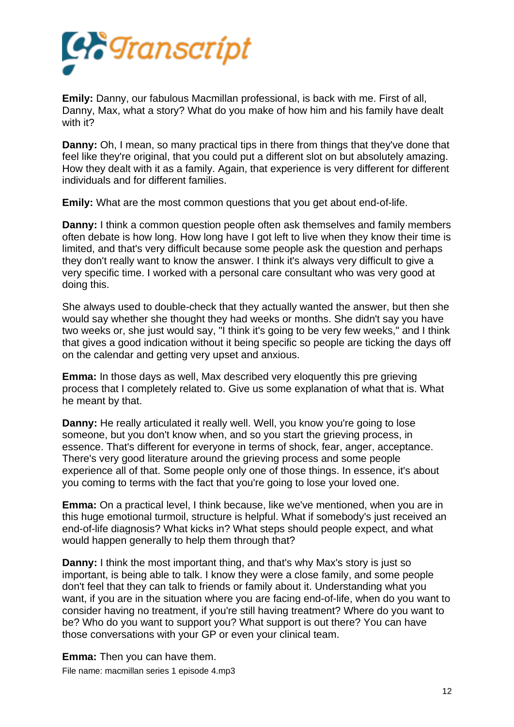

**Emily:** Danny, our fabulous Macmillan professional, is back with me. First of all, Danny, Max, what a story? What do you make of how him and his family have dealt with it?

**Danny:** Oh, I mean, so many practical tips in there from things that they've done that feel like they're original, that you could put a different slot on but absolutely amazing. How they dealt with it as a family. Again, that experience is very different for different individuals and for different families.

**Emily:** What are the most common questions that you get about end-of-life.

**Danny:** I think a common question people often ask themselves and family members often debate is how long. How long have I got left to live when they know their time is limited, and that's very difficult because some people ask the question and perhaps they don't really want to know the answer. I think it's always very difficult to give a very specific time. I worked with a personal care consultant who was very good at doing this.

She always used to double-check that they actually wanted the answer, but then she would say whether she thought they had weeks or months. She didn't say you have two weeks or, she just would say, "I think it's going to be very few weeks," and I think that gives a good indication without it being specific so people are ticking the days off on the calendar and getting very upset and anxious.

**Emma:** In those days as well, Max described very eloquently this pre grieving process that I completely related to. Give us some explanation of what that is. What he meant by that.

**Danny:** He really articulated it really well. Well, you know you're going to lose someone, but you don't know when, and so you start the grieving process, in essence. That's different for everyone in terms of shock, fear, anger, acceptance. There's very good literature around the grieving process and some people experience all of that. Some people only one of those things. In essence, it's about you coming to terms with the fact that you're going to lose your loved one.

**Emma:** On a practical level, I think because, like we've mentioned, when you are in this huge emotional turmoil, structure is helpful. What if somebody's just received an end-of-life diagnosis? What kicks in? What steps should people expect, and what would happen generally to help them through that?

**Danny:** I think the most important thing, and that's why Max's story is just so important, is being able to talk. I know they were a close family, and some people don't feel that they can talk to friends or family about it. Understanding what you want, if you are in the situation where you are facing end-of-life, when do you want to consider having no treatment, if you're still having treatment? Where do you want to be? Who do you want to support you? What support is out there? You can have those conversations with your GP or even your clinical team.

**Emma:** Then you can have them. File name: macmillan series 1 episode 4.mp3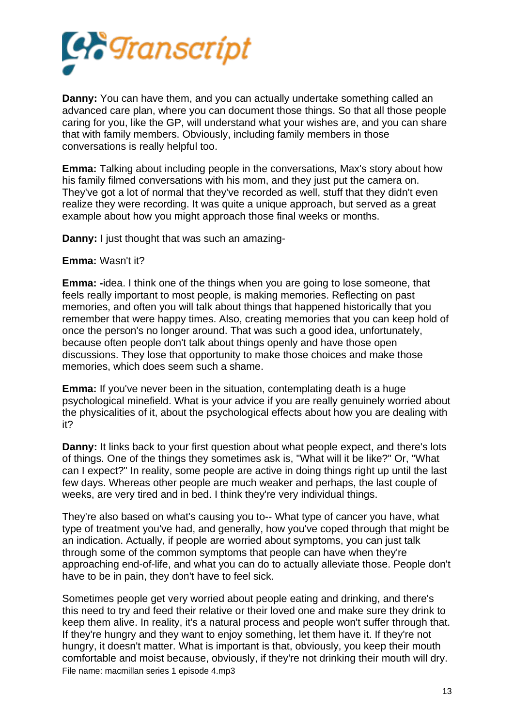

**Danny:** You can have them, and you can actually undertake something called an advanced care plan, where you can document those things. So that all those people caring for you, like the GP, will understand what your wishes are, and you can share that with family members. Obviously, including family members in those conversations is really helpful too.

**Emma:** Talking about including people in the conversations, Max's story about how his family filmed conversations with his mom, and they just put the camera on. They've got a lot of normal that they've recorded as well, stuff that they didn't even realize they were recording. It was quite a unique approach, but served as a great example about how you might approach those final weeks or months.

**Danny:** I just thought that was such an amazing-

## **Emma:** Wasn't it?

**Emma: -**idea. I think one of the things when you are going to lose someone, that feels really important to most people, is making memories. Reflecting on past memories, and often you will talk about things that happened historically that you remember that were happy times. Also, creating memories that you can keep hold of once the person's no longer around. That was such a good idea, unfortunately, because often people don't talk about things openly and have those open discussions. They lose that opportunity to make those choices and make those memories, which does seem such a shame.

**Emma:** If you've never been in the situation, contemplating death is a huge psychological minefield. What is your advice if you are really genuinely worried about the physicalities of it, about the psychological effects about how you are dealing with it?

**Danny:** It links back to your first question about what people expect, and there's lots of things. One of the things they sometimes ask is, "What will it be like?" Or, "What can I expect?" In reality, some people are active in doing things right up until the last few days. Whereas other people are much weaker and perhaps, the last couple of weeks, are very tired and in bed. I think they're very individual things.

They're also based on what's causing you to-- What type of cancer you have, what type of treatment you've had, and generally, how you've coped through that might be an indication. Actually, if people are worried about symptoms, you can just talk through some of the common symptoms that people can have when they're approaching end-of-life, and what you can do to actually alleviate those. People don't have to be in pain, they don't have to feel sick.

Sometimes people get very worried about people eating and drinking, and there's this need to try and feed their relative or their loved one and make sure they drink to keep them alive. In reality, it's a natural process and people won't suffer through that. If they're hungry and they want to enjoy something, let them have it. If they're not hungry, it doesn't matter. What is important is that, obviously, you keep their mouth comfortable and moist because, obviously, if they're not drinking their mouth will dry. File name: macmillan series 1 episode 4.mp3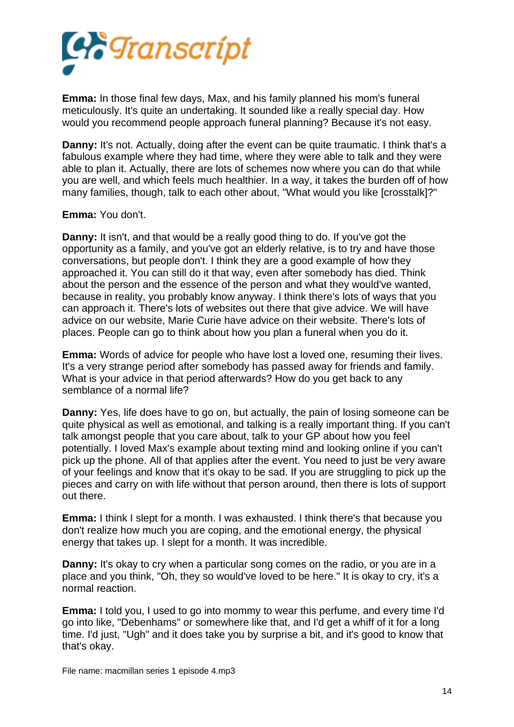

**Emma:** In those final few days, Max, and his family planned his mom's funeral meticulously. It's quite an undertaking. It sounded like a really special day. How would you recommend people approach funeral planning? Because it's not easy.

**Danny:** It's not. Actually, doing after the event can be quite traumatic. I think that's a fabulous example where they had time, where they were able to talk and they were able to plan it. Actually, there are lots of schemes now where you can do that while you are well, and which feels much healthier. In a way, it takes the burden off of how many families, though, talk to each other about, "What would you like [crosstalk]?"

## **Emma:** You don't.

**Danny:** It isn't, and that would be a really good thing to do. If you've got the opportunity as a family, and you've got an elderly relative, is to try and have those conversations, but people don't. I think they are a good example of how they approached it. You can still do it that way, even after somebody has died. Think about the person and the essence of the person and what they would've wanted, because in reality, you probably know anyway. I think there's lots of ways that you can approach it. There's lots of websites out there that give advice. We will have advice on our website, Marie Curie have advice on their website. There's lots of places. People can go to think about how you plan a funeral when you do it.

**Emma:** Words of advice for people who have lost a loved one, resuming their lives. It's a very strange period after somebody has passed away for friends and family. What is your advice in that period afterwards? How do you get back to any semblance of a normal life?

**Danny:** Yes, life does have to go on, but actually, the pain of losing someone can be quite physical as well as emotional, and talking is a really important thing. If you can't talk amongst people that you care about, talk to your GP about how you feel potentially. I loved Max's example about texting mind and looking online if you can't pick up the phone. All of that applies after the event. You need to just be very aware of your feelings and know that it's okay to be sad. If you are struggling to pick up the pieces and carry on with life without that person around, then there is lots of support out there.

**Emma:** I think I slept for a month. I was exhausted. I think there's that because you don't realize how much you are coping, and the emotional energy, the physical energy that takes up. I slept for a month. It was incredible.

**Danny:** It's okay to cry when a particular song comes on the radio, or you are in a place and you think, "Oh, they so would've loved to be here." It is okay to cry, it's a normal reaction.

**Emma:** I told you, I used to go into mommy to wear this perfume, and every time I'd go into like, "Debenhams" or somewhere like that, and I'd get a whiff of it for a long time. I'd just, "Ugh" and it does take you by surprise a bit, and it's good to know that that's okay.